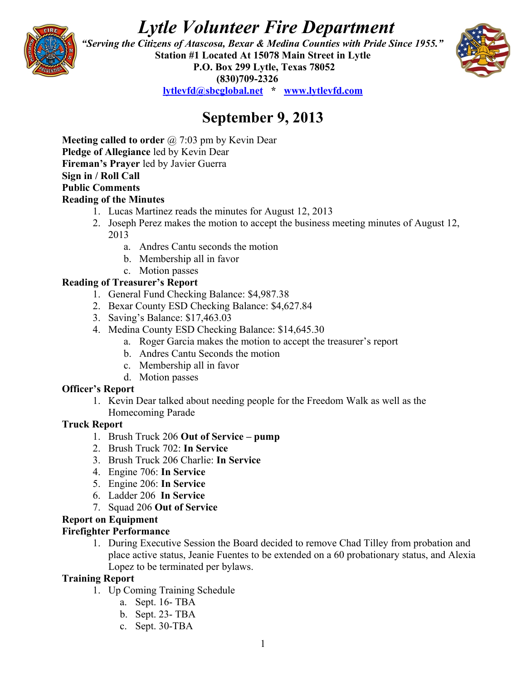# *Lytle Volunteer Fire Department*



 *"Serving the Citizens of Atascosa, Bexar & Medina Counties with Pride Since 1955."*  **Station #1 Located At 15078 Main Street in Lytle P.O. Box 299 Lytle, Texas 78052 (830)709-2326**



**[lytlevfd@sbcglobal.net](mailto:lytlevfd@sbcglobal.net) \* [www.lytlevfd.com](http://www.lytlevfd.com/)**

## **September 9, 2013**

**Meeting called to order** @ 7:03 pm by Kevin Dear **Pledge of Allegiance** led by Kevin Dear **Fireman's Prayer** led by Javier Guerra **Sign in / Roll Call Public Comments**

#### **Reading of the Minutes**

- 1. Lucas Martinez reads the minutes for August 12, 2013
- 2. Joseph Perez makes the motion to accept the business meeting minutes of August 12, 2013
	- a. Andres Cantu seconds the motion
	- b. Membership all in favor
	- c. Motion passes

#### **Reading of Treasurer's Report**

- 1. General Fund Checking Balance: \$4,987.38
- 2. Bexar County ESD Checking Balance: \$4,627.84
- 3. Saving's Balance: \$17,463.03
- 4. Medina County ESD Checking Balance: \$14,645.30
	- a. Roger Garcia makes the motion to accept the treasurer's report
	- b. Andres Cantu Seconds the motion
	- c. Membership all in favor
	- d. Motion passes

#### **Officer's Report**

1. Kevin Dear talked about needing people for the Freedom Walk as well as the Homecoming Parade

#### **Truck Report**

- 1. Brush Truck 206 **Out of Service pump**
- 2. Brush Truck 702: **In Service**
- 3. Brush Truck 206 Charlie: **In Service**
- 4. Engine 706: **In Service**
- 5. Engine 206: **In Service**
- 6. Ladder 206 **In Service**
- 7. Squad 206 **Out of Service**

#### **Report on Equipment**

#### **Firefighter Performance**

1. During Executive Session the Board decided to remove Chad Tilley from probation and place active status, Jeanie Fuentes to be extended on a 60 probationary status, and Alexia Lopez to be terminated per bylaws.

#### **Training Report**

- 1. Up Coming Training Schedule
	- a. Sept. 16- TBA
	- b. Sept. 23- TBA
	- c. Sept. 30-TBA